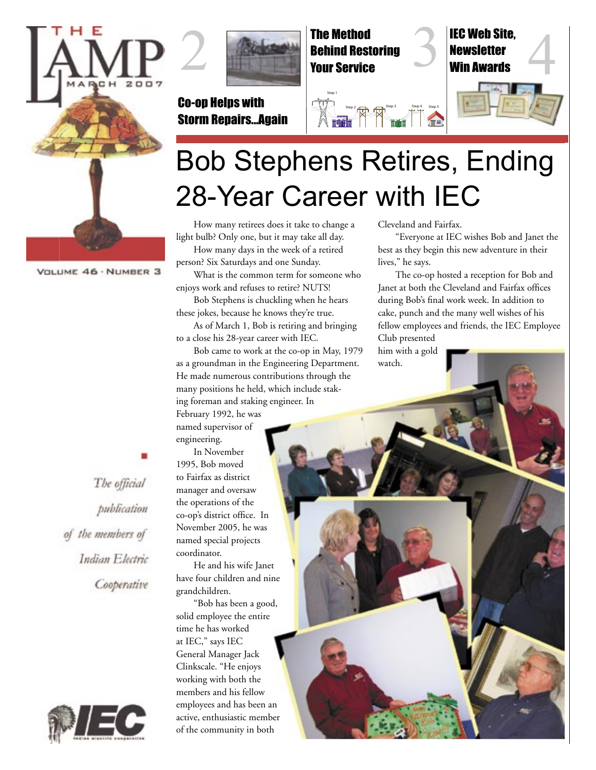

VOLUME 46 · NUMBER 3



Co-op Helps with Storm Repairs...Again



Step 1

Newsletter Win Awards



## Bob Stephens Retires, Ending 28-Year Career with IEC

Step 2 3 Step 3 Step 4 Step 5

How many retirees does it take to change a light bulb? Only one, but it may take all day. How many days in the week of a retired

person? Six Saturdays and one Sunday. What is the common term for someone who enjoys work and refuses to retire? NUTS!

Bob Stephens is chuckling when he hears these jokes, because he knows they're true.

As of March 1, Bob is retiring and bringing to a close his 28-year career with IEC.

Bob came to work at the co-op in May, 1979 as a groundman in the Engineering Department. He made numerous contributions through the many positions he held, which include staking foreman and staking engineer. In February 1992, he was

named supervisor of engineering.

In November 1995, Bob moved to Fairfax as district manager and oversaw the operations of the co-op's district office. In November 2005, he was named special projects coordinator.

He and his wife Janet have four children and nine grandchildren.

"Bob has been a good, solid employee the entire time he has worked at IEC," says IEC General Manager Jack Clinkscale. "He enjoys working with both the members and his fellow employees and has been an active, enthusiastic member of the community in both

Cleveland and Fairfax.

"Everyone at IEC wishes Bob and Janet the best as they begin this new adventure in their lives," he says.

The co-op hosted a reception for Bob and Janet at both the Cleveland and Fairfax offices during Bob's final work week. In addition to cake, punch and the many well wishes of his fellow employees and friends, the IEC Employee Club presented

him with a gold watch.

The official publication of the members of Indian Electric Cooperative

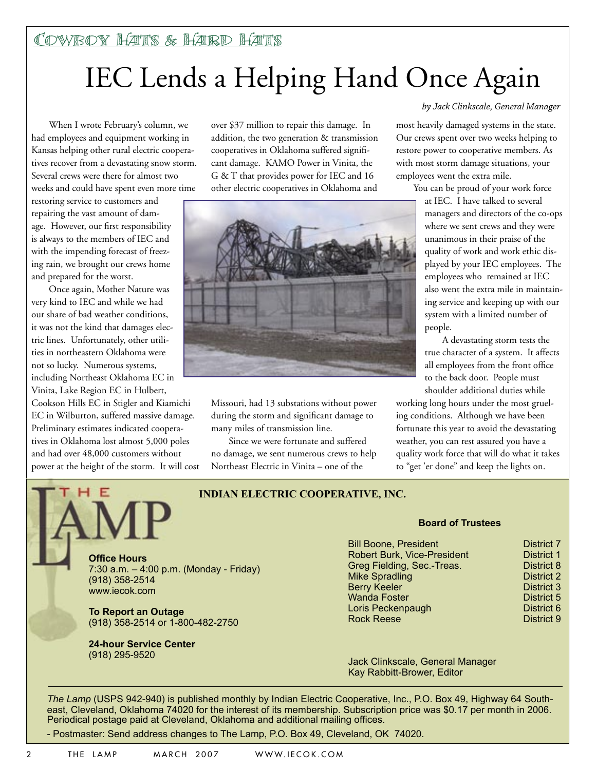# IEC Lends a Helping Hand Once Again

When I wrote February's column, we had employees and equipment working in Kansas helping other rural electric cooperatives recover from a devastating snow storm. Several crews were there for almost two weeks and could have spent even more time

restoring service to customers and repairing the vast amount of damage. However, our first responsibility is always to the members of IEC and with the impending forecast of freezing rain, we brought our crews home and prepared for the worst.

Once again, Mother Nature was very kind to IEC and while we had our share of bad weather conditions, it was not the kind that damages electric lines. Unfortunately, other utilities in northeastern Oklahoma were not so lucky. Numerous systems, including Northeast Oklahoma EC in Vinita, Lake Region EC in Hulbert, Cookson Hills EC in Stigler and Kiamichi EC in Wilburton, suffered massive damage. Preliminary estimates indicated cooperatives in Oklahoma lost almost 5,000 poles and had over 48,000 customers without power at the height of the storm. It will cost over \$37 million to repair this damage. In addition, the two generation & transmission cooperatives in Oklahoma suffered significant damage. KAMO Power in Vinita, the G & T that provides power for IEC and 16 other electric cooperatives in Oklahoma and



Missouri, had 13 substations without power during the storm and significant damage to many miles of transmission line.

Since we were fortunate and suffered no damage, we sent numerous crews to help Northeast Electric in Vinita – one of the

#### *by Jack Clinkscale, General Manager*

most heavily damaged systems in the state. Our crews spent over two weeks helping to restore power to cooperative members. As with most storm damage situations, your employees went the extra mile.

> You can be proud of your work force at IEC. I have talked to several managers and directors of the co-ops where we sent crews and they were unanimous in their praise of the quality of work and work ethic displayed by your IEC employees. The employees who remained at IEC also went the extra mile in maintaining service and keeping up with our system with a limited number of people.

A devastating storm tests the true character of a system. It affects all employees from the front office to the back door. People must shoulder additional duties while

working long hours under the most grueling conditions. Although we have been fortunate this year to avoid the devastating weather, you can rest assured you have a quality work force that will do what it takes to "get 'er done" and keep the lights on.



www.iecok.com

#### **INDIAN ELECTRIC COOPERATIVE, INC.**

7:30 a.m. – 4:00 p.m. (Monday - Friday)

**To Report an Outage** (918) 358-2514 or 1-800-482-2750

**24-hour Service Center** 

#### **Board of Trustees**

| <b>Bill Boone, President</b>       |  |
|------------------------------------|--|
| <b>Robert Burk, Vice-President</b> |  |
| Greg Fielding, Sec.-Treas.         |  |
| <b>Mike Spradling</b>              |  |
| <b>Berry Keeler</b>                |  |
| <b>Wanda Foster</b>                |  |
| Loris Peckenpaugh                  |  |
| <b>Rock Reese</b>                  |  |

**District 7 District 1** District 8 District 2 **District 3** District 5 District 6

District 9

(918) 295-9520 Jack Clinkscale, General Manager Kay Rabbitt-Brower, Editor

*The Lamp* (USPS 942-940) is published monthly by Indian Electric Cooperative, Inc., P.O. Box 49, Highway 64 Southeast, Cleveland, Oklahoma 74020 for the interest of its membership. Subscription price was \$0.17 per month in 2006. Periodical postage paid at Cleveland, Oklahoma and additional mailing offices.

- Postmaster: Send address changes to The Lamp, P.O. Box 49, Cleveland, OK 74020.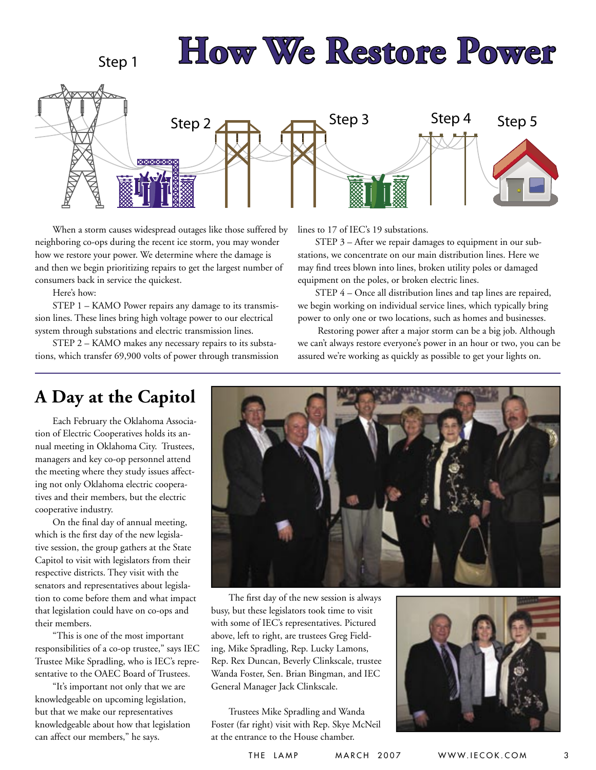

When a storm causes widespread outages like those suffered by neighboring co-ops during the recent ice storm, you may wonder how we restore your power. We determine where the damage is and then we begin prioritizing repairs to get the largest number of consumers back in service the quickest.

Here's how:

STEP 1 – KAMO Power repairs any damage to its transmission lines. These lines bring high voltage power to our electrical system through substations and electric transmission lines.

STEP 2 – KAMO makes any necessary repairs to its substations, which transfer 69,900 volts of power through transmission lines to 17 of IEC's 19 substations.

STEP 3 – After we repair damages to equipment in our substations, we concentrate on our main distribution lines. Here we may find trees blown into lines, broken utility poles or damaged equipment on the poles, or broken electric lines.

STEP 4 – Once all distribution lines and tap lines are repaired, we begin working on individual service lines, which typically bring power to only one or two locations, such as homes and businesses.

 Restoring power after a major storm can be a big job. Although we can't always restore everyone's power in an hour or two, you can be assured we're working as quickly as possible to get your lights on.

### **A Day at the Capitol**

Each February the Oklahoma Association of Electric Cooperatives holds its annual meeting in Oklahoma City. Trustees, managers and key co-op personnel attend the meeting where they study issues affecting not only Oklahoma electric cooperatives and their members, but the electric cooperative industry.

On the final day of annual meeting, which is the first day of the new legislative session, the group gathers at the State Capitol to visit with legislators from their respective districts. They visit with the senators and representatives about legislation to come before them and what impact that legislation could have on co-ops and their members.

"This is one of the most important responsibilities of a co-op trustee," says IEC Trustee Mike Spradling, who is IEC's representative to the OAEC Board of Trustees.

"It's important not only that we are knowledgeable on upcoming legislation, but that we make our representatives knowledgeable about how that legislation can affect our members," he says.



The first day of the new session is always busy, but these legislators took time to visit with some of IEC's representatives. Pictured above, left to right, are trustees Greg Fielding, Mike Spradling, Rep. Lucky Lamons, Rep. Rex Duncan, Beverly Clinkscale, trustee Wanda Foster, Sen. Brian Bingman, and IEC General Manager Jack Clinkscale.

Trustees Mike Spradling and Wanda Foster (far right) visit with Rep. Skye McNeil at the entrance to the House chamber.